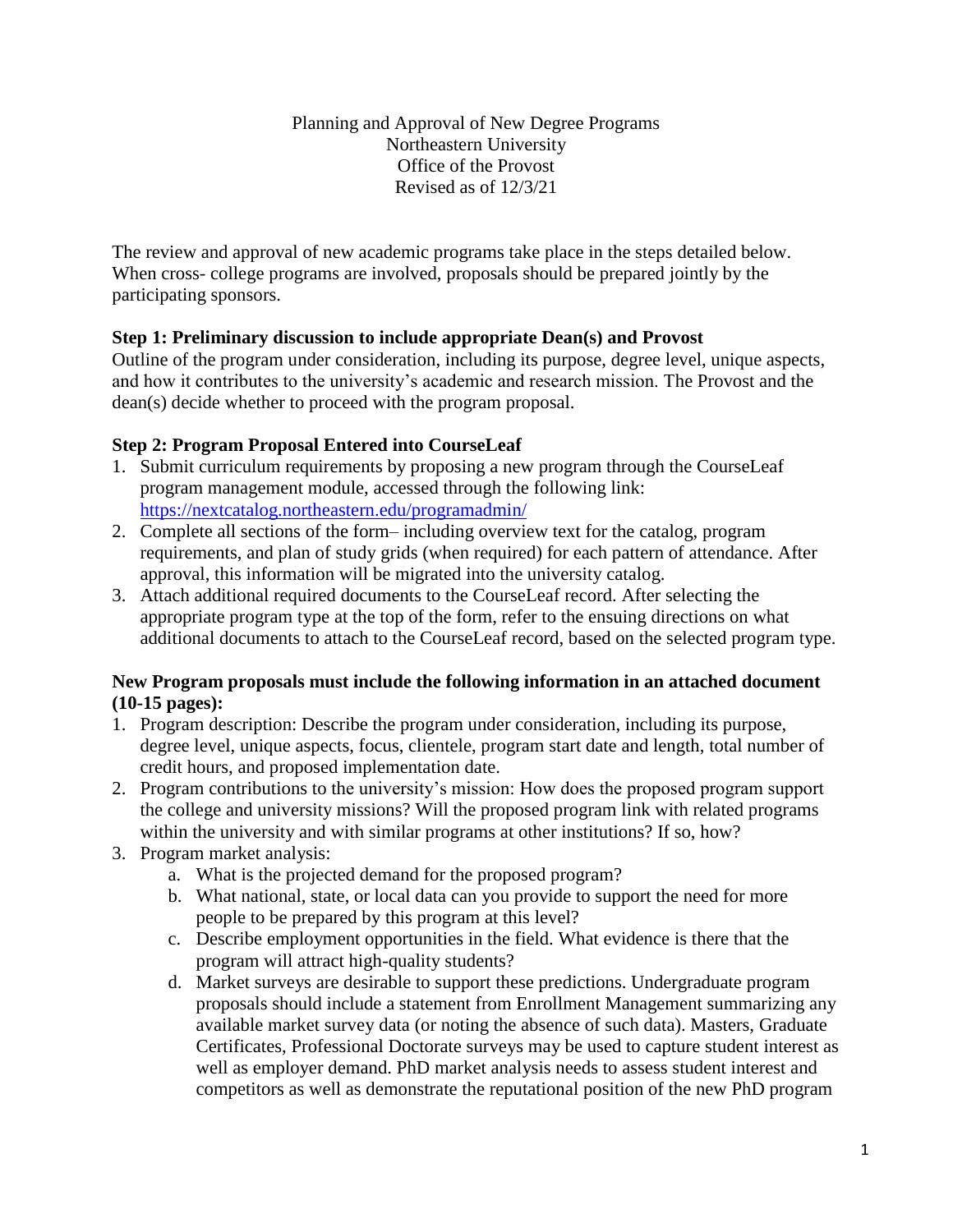Planning and Approval of New Degree Programs Northeastern University Office of the Provost Revised as of 12/3/21

The review and approval of new academic programs take place in the steps detailed below. When cross- college programs are involved, proposals should be prepared jointly by the participating sponsors.

## **Step 1: Preliminary discussion to include appropriate Dean(s) and Provost**

Outline of the program under consideration, including its purpose, degree level, unique aspects, and how it contributes to the university's academic and research mission. The Provost and the dean(s) decide whether to proceed with the program proposal.

## **Step 2: Program Proposal Entered into CourseLeaf**

- 1. Submit curriculum requirements by proposing a new program through the CourseLeaf program management module, accessed through the following link: <https://nextcatalog.northeastern.edu/programadmin/>
- 2. Complete all sections of the form– including overview text for the catalog, program requirements, and plan of study grids (when required) for each pattern of attendance. After approval, this information will be migrated into the university catalog.
- 3. Attach additional required documents to the CourseLeaf record. After selecting the appropriate program type at the top of the form, refer to the ensuing directions on what additional documents to attach to the CourseLeaf record, based on the selected program type.

## **New Program proposals must include the following information in an attached document (10-15 pages):**

- 1. Program description: Describe the program under consideration, including its purpose, degree level, unique aspects, focus, clientele, program start date and length, total number of credit hours, and proposed implementation date.
- 2. Program contributions to the university's mission: How does the proposed program support the college and university missions? Will the proposed program link with related programs within the university and with similar programs at other institutions? If so, how?
- 3. Program market analysis:
	- a. What is the projected demand for the proposed program?
	- b. What national, state, or local data can you provide to support the need for more people to be prepared by this program at this level?
	- c. Describe employment opportunities in the field. What evidence is there that the program will attract high-quality students?
	- d. Market surveys are desirable to support these predictions. Undergraduate program proposals should include a statement from Enrollment Management summarizing any available market survey data (or noting the absence of such data). Masters, Graduate Certificates, Professional Doctorate surveys may be used to capture student interest as well as employer demand. PhD market analysis needs to assess student interest and competitors as well as demonstrate the reputational position of the new PhD program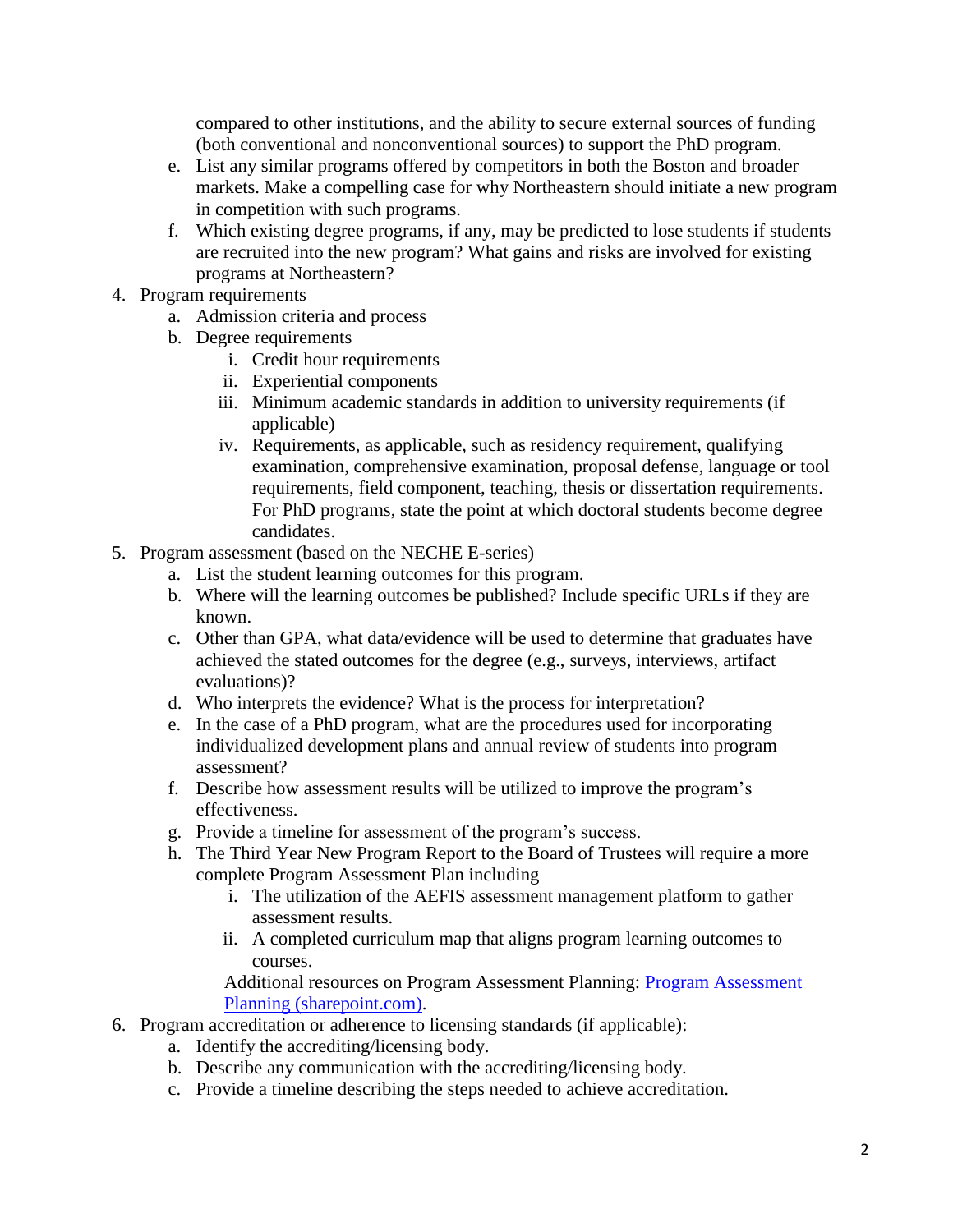compared to other institutions, and the ability to secure external sources of funding (both conventional and nonconventional sources) to support the PhD program.

- e. List any similar programs offered by competitors in both the Boston and broader markets. Make a compelling case for why Northeastern should initiate a new program in competition with such programs.
- f. Which existing degree programs, if any, may be predicted to lose students if students are recruited into the new program? What gains and risks are involved for existing programs at Northeastern?
- 4. Program requirements
	- a. Admission criteria and process
	- b. Degree requirements
		- i. Credit hour requirements
		- ii. Experiential components
		- iii. Minimum academic standards in addition to university requirements (if applicable)
		- iv. Requirements, as applicable, such as residency requirement, qualifying examination, comprehensive examination, proposal defense, language or tool requirements, field component, teaching, thesis or dissertation requirements. For PhD programs, state the point at which doctoral students become degree candidates.
- 5. Program assessment (based on the NECHE E-series)
	- a. List the student learning outcomes for this program.
	- b. Where will the learning outcomes be published? Include specific URLs if they are known.
	- c. Other than GPA, what data/evidence will be used to determine that graduates have achieved the stated outcomes for the degree (e.g., surveys, interviews, artifact evaluations)?
	- d. Who interprets the evidence? What is the process for interpretation?
	- e. In the case of a PhD program, what are the procedures used for incorporating individualized development plans and annual review of students into program assessment?
	- f. Describe how assessment results will be utilized to improve the program's effectiveness.
	- g. Provide a timeline for assessment of the program's success.
	- h. The Third Year New Program Report to the Board of Trustees will require a more complete Program Assessment Plan including
		- i. The utilization of the AEFIS assessment management platform to gather assessment results.
		- ii. A completed curriculum map that aligns program learning outcomes to courses.

Additional resources on Program Assessment Planning: [Program Assessment](https://northeastern.sharepoint.com/sites/IAE/SitePages/Program%20Assessment%20Planning.aspx)  [Planning \(sharepoint.com\).](https://northeastern.sharepoint.com/sites/IAE/SitePages/Program%20Assessment%20Planning.aspx)

- 6. Program accreditation or adherence to licensing standards (if applicable):
	- a. Identify the accrediting/licensing body.
	- b. Describe any communication with the accrediting/licensing body.
	- c. Provide a timeline describing the steps needed to achieve accreditation.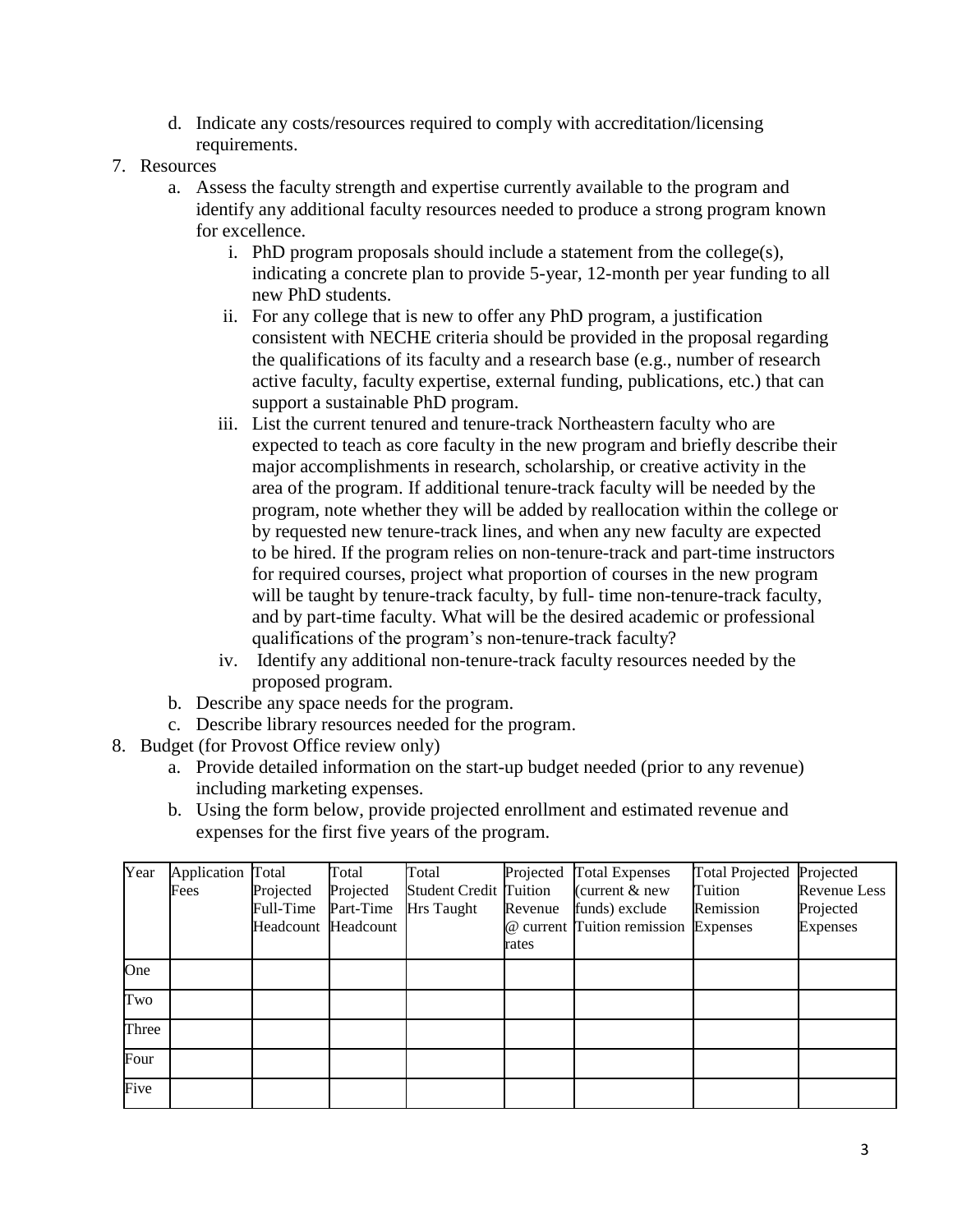- d. Indicate any costs/resources required to comply with accreditation/licensing requirements.
- 7. Resources
	- a. Assess the faculty strength and expertise currently available to the program and identify any additional faculty resources needed to produce a strong program known for excellence.
		- i. PhD program proposals should include a statement from the college(s), indicating a concrete plan to provide 5-year, 12-month per year funding to all new PhD students.
		- ii. For any college that is new to offer any PhD program, a justification consistent with NECHE criteria should be provided in the proposal regarding the qualifications of its faculty and a research base (e.g., number of research active faculty, faculty expertise, external funding, publications, etc.) that can support a sustainable PhD program.
		- iii. List the current tenured and tenure-track Northeastern faculty who are expected to teach as core faculty in the new program and briefly describe their major accomplishments in research, scholarship, or creative activity in the area of the program. If additional tenure-track faculty will be needed by the program, note whether they will be added by reallocation within the college or by requested new tenure-track lines, and when any new faculty are expected to be hired. If the program relies on non-tenure-track and part-time instructors for required courses, project what proportion of courses in the new program will be taught by tenure-track faculty, by full- time non-tenure-track faculty, and by part-time faculty. What will be the desired academic or professional qualifications of the program's non-tenure-track faculty?
		- iv. Identify any additional non-tenure-track faculty resources needed by the proposed program.
	- b. Describe any space needs for the program.
	- c. Describe library resources needed for the program.
- 8. Budget (for Provost Office review only)
	- a. Provide detailed information on the start-up budget needed (prior to any revenue) including marketing expenses.
	- b. Using the form below, provide projected enrollment and estimated revenue and expenses for the first five years of the program.

| Year  | Application Total |                     | Total     | Total                         | Projected | <b>Total Expenses</b>                | Total Projected Projected |                     |
|-------|-------------------|---------------------|-----------|-------------------------------|-----------|--------------------------------------|---------------------------|---------------------|
|       | Fees              | Projected           | Projected | <b>Student Credit Tuition</b> |           | (current $&$ new                     | Tuition                   | <b>Revenue Less</b> |
|       |                   | Full-Time           | Part-Time | <b>Hrs</b> Taught             | Revenue   | funds) exclude                       | Remission                 | Projected           |
|       |                   | Headcount Headcount |           |                               |           | @ current Tuition remission Expenses |                           | <b>Expenses</b>     |
|       |                   |                     |           |                               | rates     |                                      |                           |                     |
| One   |                   |                     |           |                               |           |                                      |                           |                     |
| Two   |                   |                     |           |                               |           |                                      |                           |                     |
| Three |                   |                     |           |                               |           |                                      |                           |                     |
| Four  |                   |                     |           |                               |           |                                      |                           |                     |
| Five  |                   |                     |           |                               |           |                                      |                           |                     |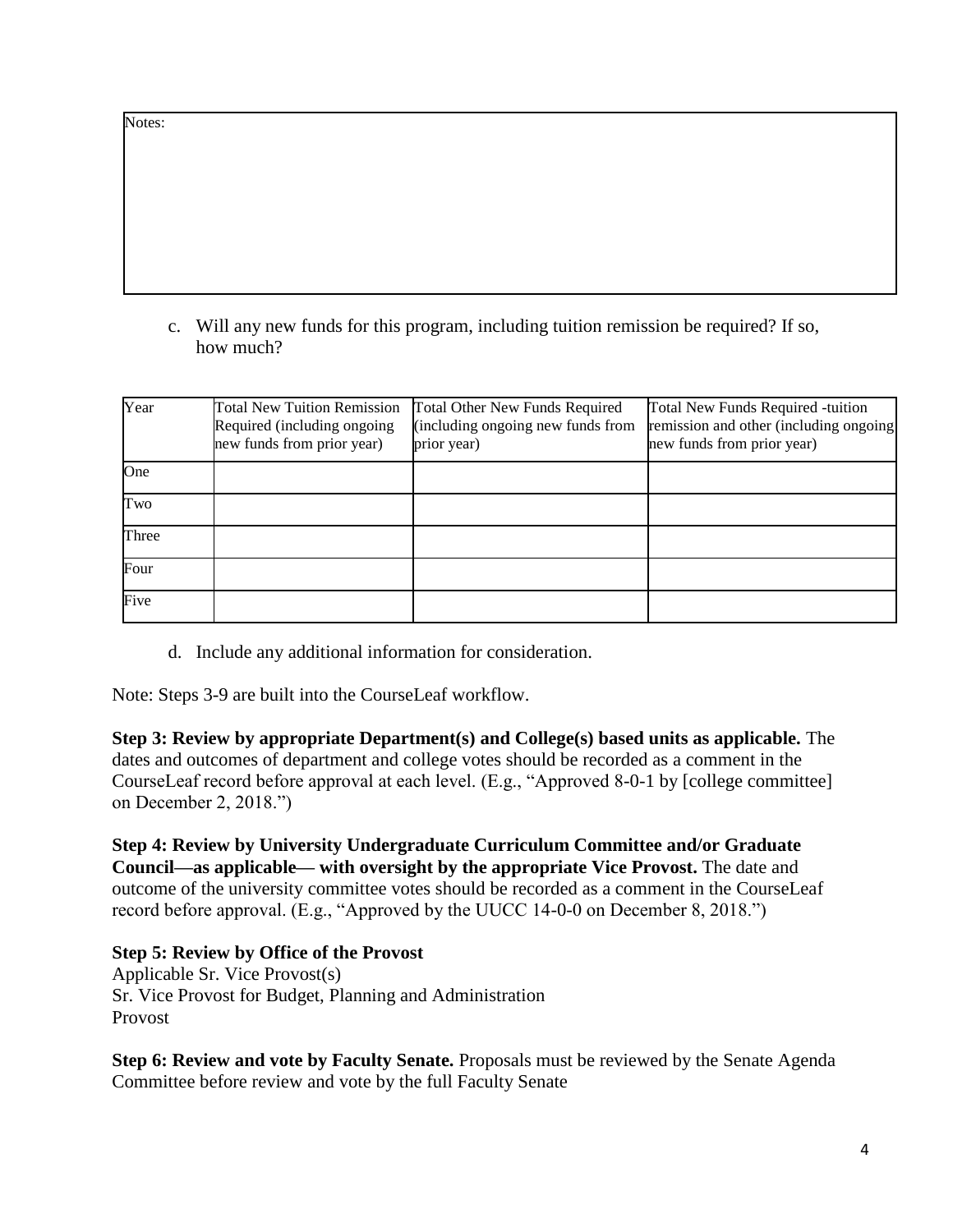c. Will any new funds for this program, including tuition remission be required? If so, how much?

| Year  | <b>Total New Tuition Remission</b><br>Required (including ongoing<br>new funds from prior year) | <b>Total Other New Funds Required</b><br>(including ongoing new funds from<br>prior year) | Total New Funds Required -tuition<br>remission and other (including ongoing)<br>new funds from prior year) |
|-------|-------------------------------------------------------------------------------------------------|-------------------------------------------------------------------------------------------|------------------------------------------------------------------------------------------------------------|
| One   |                                                                                                 |                                                                                           |                                                                                                            |
| Two   |                                                                                                 |                                                                                           |                                                                                                            |
| Three |                                                                                                 |                                                                                           |                                                                                                            |
| Four  |                                                                                                 |                                                                                           |                                                                                                            |
| Five  |                                                                                                 |                                                                                           |                                                                                                            |

d. Include any additional information for consideration.

Note: Steps 3-9 are built into the CourseLeaf workflow.

**Step 3: Review by appropriate Department(s) and College(s) based units as applicable.** The dates and outcomes of department and college votes should be recorded as a comment in the CourseLeaf record before approval at each level. (E.g., "Approved 8-0-1 by [college committee] on December 2, 2018.")

**Step 4: Review by University Undergraduate Curriculum Committee and/or Graduate Council—as applicable— with oversight by the appropriate Vice Provost.** The date and outcome of the university committee votes should be recorded as a comment in the CourseLeaf record before approval. (E.g., "Approved by the UUCC 14-0-0 on December 8, 2018.")

**Step 5: Review by Office of the Provost** Applicable Sr. Vice Provost(s) Sr. Vice Provost for Budget, Planning and Administration Provost

**Step 6: Review and vote by Faculty Senate.** Proposals must be reviewed by the Senate Agenda Committee before review and vote by the full Faculty Senate